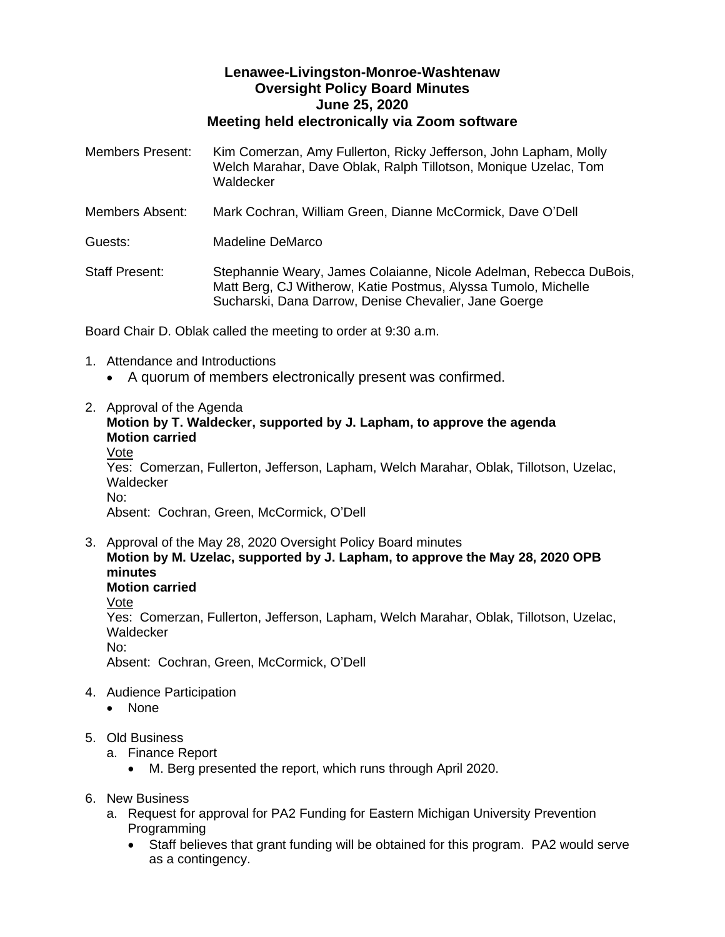## **Lenawee-Livingston-Monroe-Washtenaw Oversight Policy Board Minutes June 25, 2020 Meeting held electronically via Zoom software**

| Members Present:      | Kim Comerzan, Amy Fullerton, Ricky Jefferson, John Lapham, Molly<br>Welch Marahar, Dave Oblak, Ralph Tillotson, Monique Uzelac, Tom<br>Waldecker                                              |
|-----------------------|-----------------------------------------------------------------------------------------------------------------------------------------------------------------------------------------------|
| Members Absent:       | Mark Cochran, William Green, Dianne McCormick, Dave O'Dell                                                                                                                                    |
| Guests:               | Madeline DeMarco                                                                                                                                                                              |
| <b>Staff Present:</b> | Stephannie Weary, James Colaianne, Nicole Adelman, Rebecca DuBois,<br>Matt Berg, CJ Witherow, Katie Postmus, Alyssa Tumolo, Michelle<br>Sucharski, Dana Darrow, Denise Chevalier, Jane Goerge |

Board Chair D. Oblak called the meeting to order at 9:30 a.m.

- 1. Attendance and Introductions
	- A quorum of members electronically present was confirmed.
- 2. Approval of the Agenda

## **Motion by T. Waldecker, supported by J. Lapham, to approve the agenda Motion carried**

Vote

Yes: Comerzan, Fullerton, Jefferson, Lapham, Welch Marahar, Oblak, Tillotson, Uzelac, Waldecker No:

Absent: Cochran, Green, McCormick, O'Dell

- 3. Approval of the May 28, 2020 Oversight Policy Board minutes **Motion by M. Uzelac, supported by J. Lapham, to approve the May 28, 2020 OPB minutes Motion carried** Vote Yes: Comerzan, Fullerton, Jefferson, Lapham, Welch Marahar, Oblak, Tillotson, Uzelac, Waldecker No: Absent: Cochran, Green, McCormick, O'Dell
- 4. Audience Participation
	- None
- 5. Old Business
	- a. Finance Report
		- M. Berg presented the report, which runs through April 2020.
- 6. New Business
	- a. Request for approval for PA2 Funding for Eastern Michigan University Prevention Programming
		- Staff believes that grant funding will be obtained for this program. PA2 would serve as a contingency.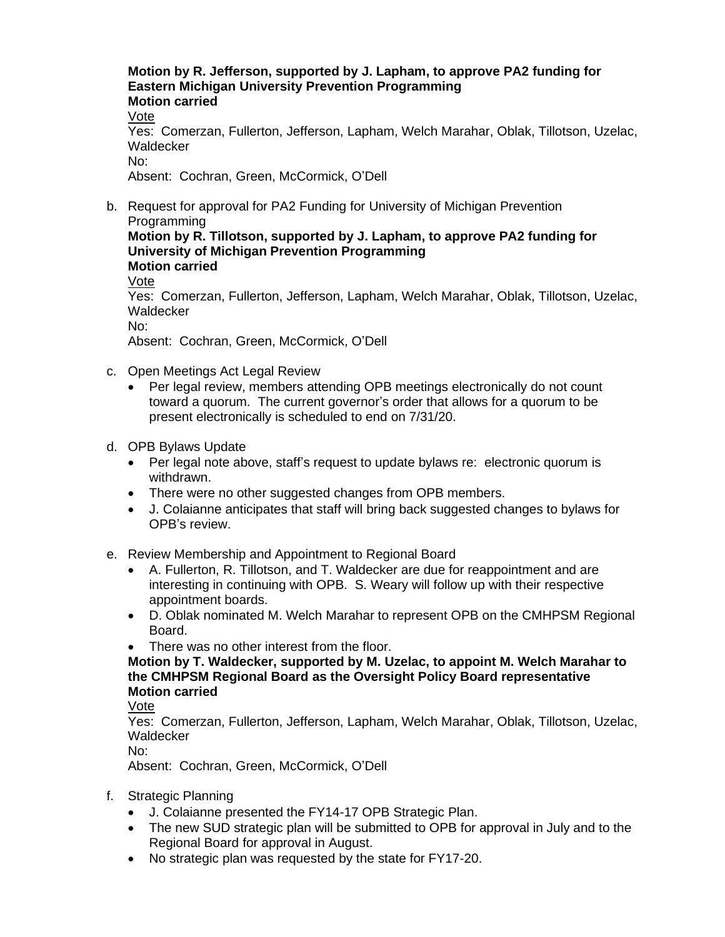## **Motion by R. Jefferson, supported by J. Lapham, to approve PA2 funding for Eastern Michigan University Prevention Programming Motion carried**

Vote

Yes: Comerzan, Fullerton, Jefferson, Lapham, Welch Marahar, Oblak, Tillotson, Uzelac, Waldecker

No:

Absent: Cochran, Green, McCormick, O'Dell

b. Request for approval for PA2 Funding for University of Michigan Prevention Programming

**Motion by R. Tillotson, supported by J. Lapham, to approve PA2 funding for University of Michigan Prevention Programming Motion carried**

Vote

Yes: Comerzan, Fullerton, Jefferson, Lapham, Welch Marahar, Oblak, Tillotson, Uzelac, Waldecker

No:

Absent: Cochran, Green, McCormick, O'Dell

- c. Open Meetings Act Legal Review
	- Per legal review, members attending OPB meetings electronically do not count toward a quorum. The current governor's order that allows for a quorum to be present electronically is scheduled to end on 7/31/20.
- d. OPB Bylaws Update
	- Per legal note above, staff's request to update by laws re: electronic quorum is withdrawn.
	- There were no other suggested changes from OPB members.
	- J. Colaianne anticipates that staff will bring back suggested changes to bylaws for OPB's review.
- e. Review Membership and Appointment to Regional Board
	- A. Fullerton, R. Tillotson, and T. Waldecker are due for reappointment and are interesting in continuing with OPB. S. Weary will follow up with their respective appointment boards.
	- D. Oblak nominated M. Welch Marahar to represent OPB on the CMHPSM Regional Board.
	- There was no other interest from the floor.

**Motion by T. Waldecker, supported by M. Uzelac, to appoint M. Welch Marahar to the CMHPSM Regional Board as the Oversight Policy Board representative Motion carried**

Vote

Yes: Comerzan, Fullerton, Jefferson, Lapham, Welch Marahar, Oblak, Tillotson, Uzelac, **Waldecker** 

No:

Absent: Cochran, Green, McCormick, O'Dell

- f. Strategic Planning
	- J. Colaianne presented the FY14-17 OPB Strategic Plan.
	- The new SUD strategic plan will be submitted to OPB for approval in July and to the Regional Board for approval in August.
	- No strategic plan was requested by the state for FY17-20.